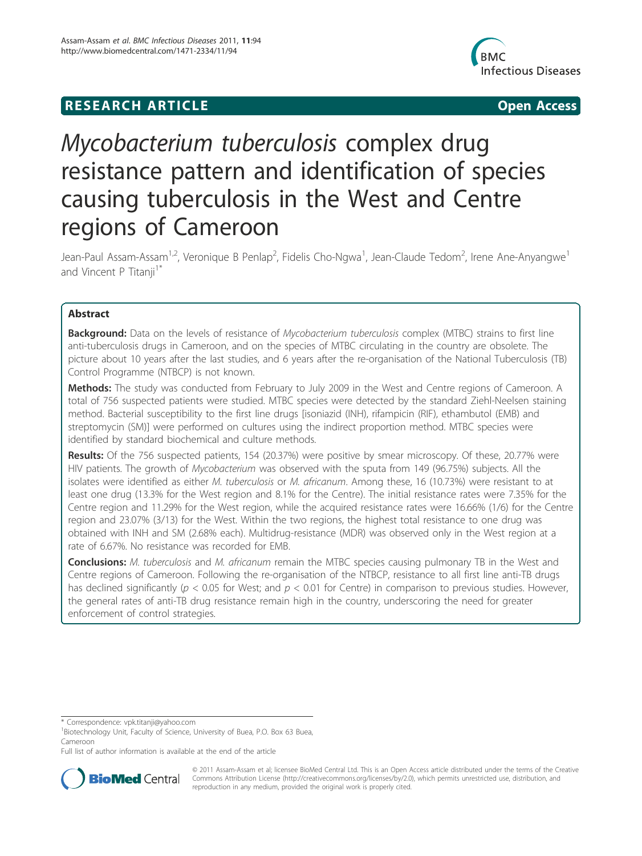## **RESEARCH ARTICLE Example 2018 12:00 Department of the Contract Open Access**



# Mycobacterium tuberculosis complex drug resistance pattern and identification of species causing tuberculosis in the West and Centre regions of Cameroon

Jean-Paul Assam-Assam<sup>1,2</sup>, Veronique B Penlap<sup>2</sup>, Fidelis Cho-Ngwa<sup>1</sup>, Jean-Claude Tedom<sup>2</sup>, Irene Ane-Anyangwe<sup>1</sup> and Vincent P Titanji<sup>1\*</sup>

## Abstract

**Background:** Data on the levels of resistance of *Mycobacterium tuberculosis* complex (MTBC) strains to first line anti-tuberculosis drugs in Cameroon, and on the species of MTBC circulating in the country are obsolete. The picture about 10 years after the last studies, and 6 years after the re-organisation of the National Tuberculosis (TB) Control Programme (NTBCP) is not known.

Methods: The study was conducted from February to July 2009 in the West and Centre regions of Cameroon. A total of 756 suspected patients were studied. MTBC species were detected by the standard Ziehl-Neelsen staining method. Bacterial susceptibility to the first line drugs [isoniazid (INH), rifampicin (RIF), ethambutol (EMB) and streptomycin (SM)] were performed on cultures using the indirect proportion method. MTBC species were identified by standard biochemical and culture methods.

Results: Of the 756 suspected patients, 154 (20.37%) were positive by smear microscopy. Of these, 20.77% were HIV patients. The growth of Mycobacterium was observed with the sputa from 149 (96.75%) subjects. All the isolates were identified as either M. tuberculosis or M. africanum. Among these, 16 (10.73%) were resistant to at least one drug (13.3% for the West region and 8.1% for the Centre). The initial resistance rates were 7.35% for the Centre region and 11.29% for the West region, while the acquired resistance rates were 16.66% (1/6) for the Centre region and 23.07% (3/13) for the West. Within the two regions, the highest total resistance to one drug was obtained with INH and SM (2.68% each). Multidrug-resistance (MDR) was observed only in the West region at a rate of 6.67%. No resistance was recorded for EMB.

**Conclusions:** M. tuberculosis and M. africanum remain the MTBC species causing pulmonary TB in the West and Centre regions of Cameroon. Following the re-organisation of the NTBCP, resistance to all first line anti-TB drugs has declined significantly ( $p < 0.05$  for West; and  $p < 0.01$  for Centre) in comparison to previous studies. However, the general rates of anti-TB drug resistance remain high in the country, underscoring the need for greater enforcement of control strategies.

Full list of author information is available at the end of the article



© 2011 Assam-Assam et al; licensee BioMed Central Ltd. This is an Open Access article distributed under the terms of the Creative Commons Attribution License (http://creativecommons.org/licenses/by/2.0), which permits unrestricted use, distribution, and reproduction in any medium, provided the original work is properly cited.

<sup>\*</sup> Correspondence: vpk.titanji@yahoo.com

<sup>&</sup>lt;sup>1</sup> Biotechnology Unit, Faculty of Science, University of Buea, P.O. Box 63 Buea, Cameroon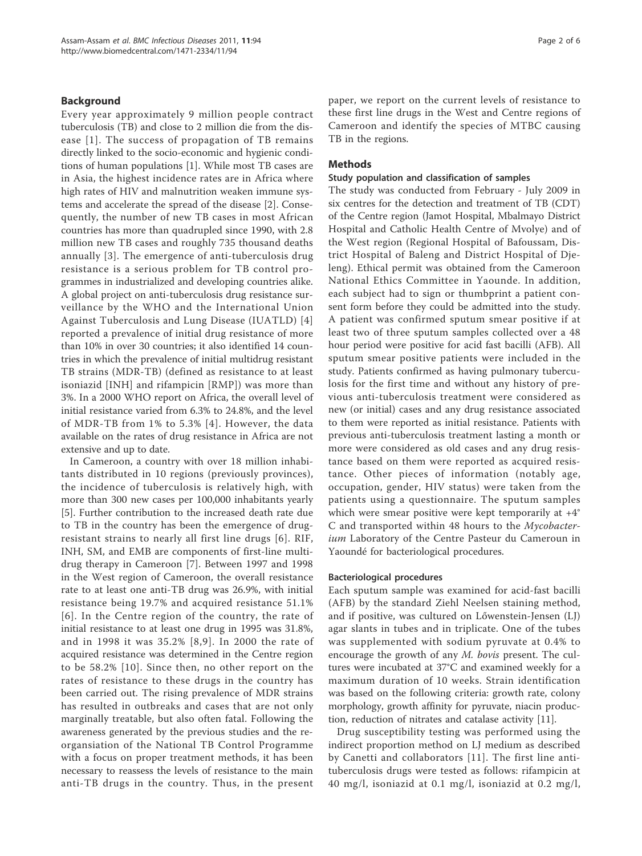#### Background

Every year approximately 9 million people contract tuberculosis (TB) and close to 2 million die from the disease [1]. The success of propagation of TB remains directly linked to the socio-economic and hygienic conditions of human populations [1]. While most TB cases are in Asia, the highest incidence rates are in Africa where high rates of HIV and malnutrition weaken immune systems and accelerate the spread of the disease [2]. Consequently, the number of new TB cases in most African countries has more than quadrupled since 1990, with 2.8 million new TB cases and roughly 735 thousand deaths annually [3]. The emergence of anti-tuberculosis drug resistance is a serious problem for TB control programmes in industrialized and developing countries alike. A global project on anti-tuberculosis drug resistance surveillance by the WHO and the International Union Against Tuberculosis and Lung Disease (IUATLD) [4] reported a prevalence of initial drug resistance of more than 10% in over 30 countries; it also identified 14 countries in which the prevalence of initial multidrug resistant TB strains (MDR-TB) (defined as resistance to at least isoniazid [INH] and rifampicin [RMP]) was more than 3%. In a 2000 WHO report on Africa, the overall level of initial resistance varied from 6.3% to 24.8%, and the level of MDR-TB from 1% to 5.3% [4]. However, the data available on the rates of drug resistance in Africa are not extensive and up to date.

In Cameroon, a country with over 18 million inhabitants distributed in 10 regions (previously provinces), the incidence of tuberculosis is relatively high, with more than 300 new cases per 100,000 inhabitants yearly [5]. Further contribution to the increased death rate due to TB in the country has been the emergence of drugresistant strains to nearly all first line drugs [6]. RIF, INH, SM, and EMB are components of first-line multidrug therapy in Cameroon [7]. Between 1997 and 1998 in the West region of Cameroon, the overall resistance rate to at least one anti-TB drug was 26.9%, with initial resistance being 19.7% and acquired resistance 51.1% [6]. In the Centre region of the country, the rate of initial resistance to at least one drug in 1995 was 31.8%, and in 1998 it was 35.2% [8,9]. In 2000 the rate of acquired resistance was determined in the Centre region to be 58.2% [10]. Since then, no other report on the rates of resistance to these drugs in the country has been carried out. The rising prevalence of MDR strains has resulted in outbreaks and cases that are not only marginally treatable, but also often fatal. Following the awareness generated by the previous studies and the reorgansiation of the National TB Control Programme with a focus on proper treatment methods, it has been necessary to reassess the levels of resistance to the main anti-TB drugs in the country. Thus, in the present paper, we report on the current levels of resistance to these first line drugs in the West and Centre regions of Cameroon and identify the species of MTBC causing TB in the regions.

#### Methods

#### Study population and classification of samples

The study was conducted from February - July 2009 in six centres for the detection and treatment of TB (CDT) of the Centre region (Jamot Hospital, Mbalmayo District Hospital and Catholic Health Centre of Mvolye) and of the West region (Regional Hospital of Bafoussam, District Hospital of Baleng and District Hospital of Djeleng). Ethical permit was obtained from the Cameroon National Ethics Committee in Yaounde. In addition, each subject had to sign or thumbprint a patient consent form before they could be admitted into the study. A patient was confirmed sputum smear positive if at least two of three sputum samples collected over a 48 hour period were positive for acid fast bacilli (AFB). All sputum smear positive patients were included in the study. Patients confirmed as having pulmonary tuberculosis for the first time and without any history of previous anti-tuberculosis treatment were considered as new (or initial) cases and any drug resistance associated to them were reported as initial resistance. Patients with previous anti-tuberculosis treatment lasting a month or more were considered as old cases and any drug resistance based on them were reported as acquired resistance. Other pieces of information (notably age, occupation, gender, HIV status) were taken from the patients using a questionnaire. The sputum samples which were smear positive were kept temporarily at +4° C and transported within 48 hours to the Mycobacterium Laboratory of the Centre Pasteur du Cameroun in Yaoundé for bacteriological procedures.

#### Bacteriological procedures

Each sputum sample was examined for acid-fast bacilli (AFB) by the standard Ziehl Neelsen staining method, and if positive, was cultured on Lőwenstein-Jensen (LJ) agar slants in tubes and in triplicate. One of the tubes was supplemented with sodium pyruvate at 0.4% to encourage the growth of any M. bovis present. The cultures were incubated at 37°C and examined weekly for a maximum duration of 10 weeks. Strain identification was based on the following criteria: growth rate, colony morphology, growth affinity for pyruvate, niacin production, reduction of nitrates and catalase activity [11].

Drug susceptibility testing was performed using the indirect proportion method on LJ medium as described by Canetti and collaborators [11]. The first line antituberculosis drugs were tested as follows: rifampicin at 40 mg/l, isoniazid at 0.1 mg/l, isoniazid at 0.2 mg/l,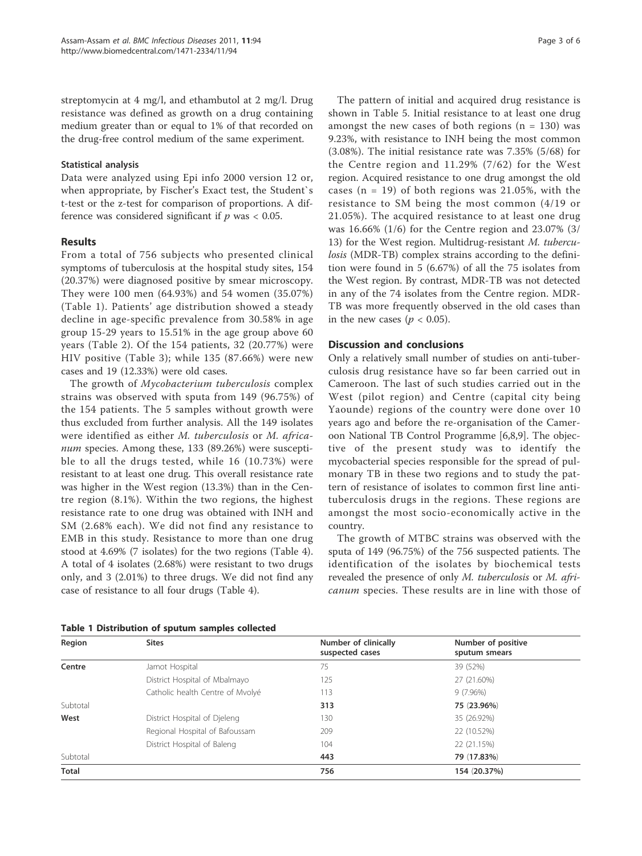streptomycin at 4 mg/l, and ethambutol at 2 mg/l. Drug resistance was defined as growth on a drug containing medium greater than or equal to 1% of that recorded on the drug-free control medium of the same experiment.

#### Statistical analysis

Data were analyzed using Epi info 2000 version 12 or, when appropriate, by Fischer's Exact test, the Student`s t-test or the z-test for comparison of proportions. A difference was considered significant if  $p$  was  $< 0.05$ .

## **Results**

From a total of 756 subjects who presented clinical symptoms of tuberculosis at the hospital study sites, 154 (20.37%) were diagnosed positive by smear microscopy. They were 100 men (64.93%) and 54 women (35.07%) (Table 1). Patients' age distribution showed a steady decline in age-specific prevalence from 30.58% in age group 15-29 years to 15.51% in the age group above 60 years (Table 2). Of the 154 patients, 32 (20.77%) were HIV positive (Table 3); while 135 (87.66%) were new cases and 19 (12.33%) were old cases.

The growth of *Mycobacterium tuberculosis* complex strains was observed with sputa from 149 (96.75%) of the 154 patients. The 5 samples without growth were thus excluded from further analysis. All the 149 isolates were identified as either M. tuberculosis or M. africanum species. Among these, 133 (89.26%) were susceptible to all the drugs tested, while 16 (10.73%) were resistant to at least one drug. This overall resistance rate was higher in the West region (13.3%) than in the Centre region (8.1%). Within the two regions, the highest resistance rate to one drug was obtained with INH and SM (2.68% each). We did not find any resistance to EMB in this study. Resistance to more than one drug stood at 4.69% (7 isolates) for the two regions (Table 4). A total of 4 isolates (2.68%) were resistant to two drugs only, and 3 (2.01%) to three drugs. We did not find any case of resistance to all four drugs (Table 4).

| Page 3 of 6 |  |  |  |
|-------------|--|--|--|
|-------------|--|--|--|

The pattern of initial and acquired drug resistance is shown in Table 5. Initial resistance to at least one drug amongst the new cases of both regions  $(n = 130)$  was 9.23%, with resistance to INH being the most common (3.08%). The initial resistance rate was 7.35% (5/68) for the Centre region and 11.29% (7/62) for the West region. Acquired resistance to one drug amongst the old cases  $(n = 19)$  of both regions was 21.05%, with the resistance to SM being the most common (4/19 or 21.05%). The acquired resistance to at least one drug was 16.66% (1/6) for the Centre region and 23.07% (3/ 13) for the West region. Multidrug-resistant M. tuberculosis (MDR-TB) complex strains according to the definition were found in 5 (6.67%) of all the 75 isolates from the West region. By contrast, MDR-TB was not detected in any of the 74 isolates from the Centre region. MDR-TB was more frequently observed in the old cases than in the new cases ( $p < 0.05$ ).

## Discussion and conclusions

Only a relatively small number of studies on anti-tuberculosis drug resistance have so far been carried out in Cameroon. The last of such studies carried out in the West (pilot region) and Centre (capital city being Yaounde) regions of the country were done over 10 years ago and before the re-organisation of the Cameroon National TB Control Programme [6,8,9]. The objective of the present study was to identify the mycobacterial species responsible for the spread of pulmonary TB in these two regions and to study the pattern of resistance of isolates to common first line antituberculosis drugs in the regions. These regions are amongst the most socio-economically active in the country.

The growth of MTBC strains was observed with the sputa of 149 (96.75%) of the 756 suspected patients. The identification of the isolates by biochemical tests revealed the presence of only M. tuberculosis or M. africanum species. These results are in line with those of

| Region       | <b>Sites</b>                     | Number of clinically<br>suspected cases | Number of positive<br>sputum smears |
|--------------|----------------------------------|-----------------------------------------|-------------------------------------|
| Centre       | Jamot Hospital                   | 75                                      | 39 (52%)                            |
|              | District Hospital of Mbalmayo    | 125                                     | 27 (21.60%)                         |
|              | Catholic health Centre of Mvolyé | 113                                     | $9(7.96\%)$                         |
| Subtotal     |                                  | 313                                     | 75 (23.96%)                         |
| West         | District Hospital of Djeleng     | 130                                     | 35 (26.92%)                         |
|              | Regional Hospital of Bafoussam   | 209                                     | 22 (10.52%)                         |
|              | District Hospital of Baleng      | 104                                     | 22 (21.15%)                         |
| Subtotal     |                                  | 443                                     | 79 (17.83%)                         |
| <b>Total</b> |                                  | 756                                     | 154 (20.37%)                        |

Table 1 Distribution of sputum samples collected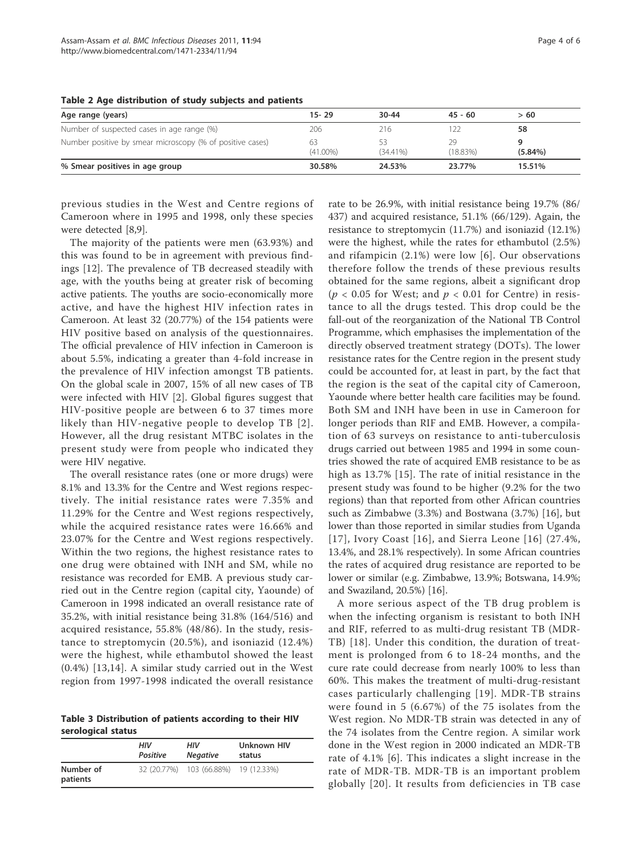| Age range (years)                                         | $15 - 29$         | $30 - 44$         | $45 - 60$         | >60        |
|-----------------------------------------------------------|-------------------|-------------------|-------------------|------------|
| Number of suspected cases in age range (%)                | 206               | 216               |                   | 58         |
| Number positive by smear microscopy (% of positive cases) | 63<br>$(41.00\%)$ | 53<br>$(34.41\%)$ | 29<br>$(18.83\%)$ | $(5.84\%)$ |
| % Smear positives in age group                            | 30.58%            | 24.53%            | 23.77%            | 15.51%     |

Table 2 Age distribution of study subjects and patients

previous studies in the West and Centre regions of Cameroon where in 1995 and 1998, only these species were detected [8,9].

The majority of the patients were men (63.93%) and this was found to be in agreement with previous findings [12]. The prevalence of TB decreased steadily with age, with the youths being at greater risk of becoming active patients. The youths are socio-economically more active, and have the highest HIV infection rates in Cameroon. At least 32 (20.77%) of the 154 patients were HIV positive based on analysis of the questionnaires. The official prevalence of HIV infection in Cameroon is about 5.5%, indicating a greater than 4-fold increase in the prevalence of HIV infection amongst TB patients. On the global scale in 2007, 15% of all new cases of TB were infected with HIV [2]. Global figures suggest that HIV-positive people are between 6 to 37 times more likely than HIV-negative people to develop TB [2]. However, all the drug resistant MTBC isolates in the present study were from people who indicated they were HIV negative.

The overall resistance rates (one or more drugs) were 8.1% and 13.3% for the Centre and West regions respectively. The initial resistance rates were 7.35% and 11.29% for the Centre and West regions respectively, while the acquired resistance rates were 16.66% and 23.07% for the Centre and West regions respectively. Within the two regions, the highest resistance rates to one drug were obtained with INH and SM, while no resistance was recorded for EMB. A previous study carried out in the Centre region (capital city, Yaounde) of Cameroon in 1998 indicated an overall resistance rate of 35.2%, with initial resistance being 31.8% (164/516) and acquired resistance, 55.8% (48/86). In the study, resistance to streptomycin (20.5%), and isoniazid (12.4%) were the highest, while ethambutol showed the least (0.4%) [13,14]. A similar study carried out in the West region from 1997-1998 indicated the overall resistance

Table 3 Distribution of patients according to their HIV serological status

|                       | нıv<br><b>Positive</b> | нıv<br><b>Negative</b>               | <b>Unknown HIV</b><br>status |
|-----------------------|------------------------|--------------------------------------|------------------------------|
| Number of<br>patients |                        | 32 (20.77%) 103 (66.88%) 19 (12.33%) |                              |

rate to be 26.9%, with initial resistance being 19.7% (86/ 437) and acquired resistance, 51.1% (66/129). Again, the resistance to streptomycin (11.7%) and isoniazid (12.1%) were the highest, while the rates for ethambutol (2.5%) and rifampicin (2.1%) were low [6]. Our observations therefore follow the trends of these previous results obtained for the same regions, albeit a significant drop ( $p < 0.05$  for West; and  $p < 0.01$  for Centre) in resistance to all the drugs tested. This drop could be the fall-out of the reorganization of the National TB Control Programme, which emphasises the implementation of the directly observed treatment strategy (DOTs). The lower resistance rates for the Centre region in the present study could be accounted for, at least in part, by the fact that the region is the seat of the capital city of Cameroon, Yaounde where better health care facilities may be found. Both SM and INH have been in use in Cameroon for longer periods than RIF and EMB. However, a compilation of 63 surveys on resistance to anti-tuberculosis drugs carried out between 1985 and 1994 in some countries showed the rate of acquired EMB resistance to be as high as 13.7% [15]. The rate of initial resistance in the present study was found to be higher (9.2% for the two regions) than that reported from other African countries such as Zimbabwe (3.3%) and Bostwana (3.7%) [16], but lower than those reported in similar studies from Uganda [17], Ivory Coast [16], and Sierra Leone [16] (27.4%, 13.4%, and 28.1% respectively). In some African countries the rates of acquired drug resistance are reported to be lower or similar (e.g. Zimbabwe, 13.9%; Botswana, 14.9%; and Swaziland, 20.5%) [16].

A more serious aspect of the TB drug problem is when the infecting organism is resistant to both INH and RIF, referred to as multi-drug resistant TB (MDR-TB) [18]. Under this condition, the duration of treatment is prolonged from 6 to 18-24 months, and the cure rate could decrease from nearly 100% to less than 60%. This makes the treatment of multi-drug-resistant cases particularly challenging [19]. MDR-TB strains were found in 5 (6.67%) of the 75 isolates from the West region. No MDR-TB strain was detected in any of the 74 isolates from the Centre region. A similar work done in the West region in 2000 indicated an MDR-TB rate of 4.1% [6]. This indicates a slight increase in the rate of MDR-TB. MDR-TB is an important problem globally [20]. It results from deficiencies in TB case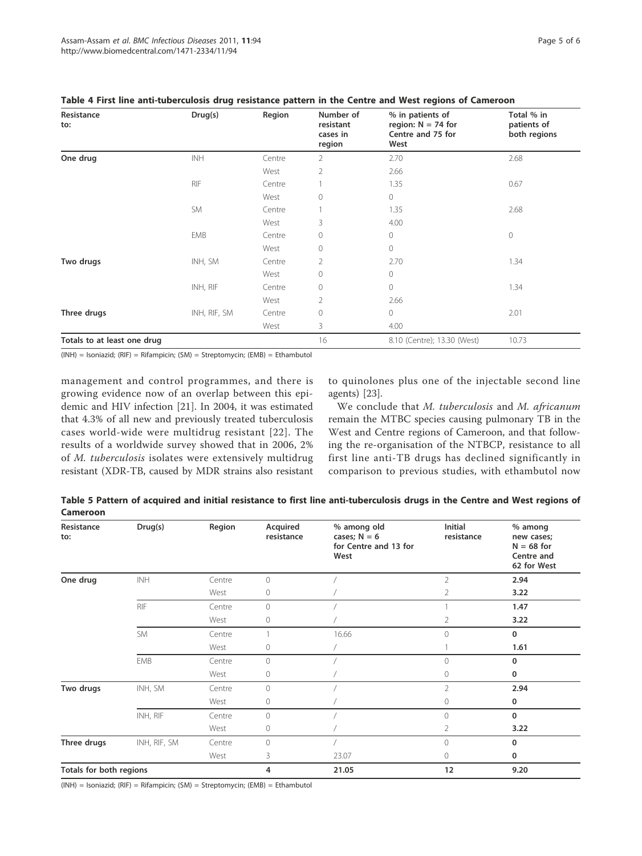| Resistance<br>to:           | Drug(s)      | Region | Number of<br>resistant<br>cases in<br>region | % in patients of<br>region: $N = 74$ for<br>Centre and 75 for<br>West | Total % in<br>patients of<br>both regions |
|-----------------------------|--------------|--------|----------------------------------------------|-----------------------------------------------------------------------|-------------------------------------------|
| One drug                    | <b>INH</b>   | Centre | 2                                            | 2.70                                                                  | 2.68                                      |
|                             |              | West   | $\overline{2}$                               | 2.66                                                                  |                                           |
|                             | <b>RIF</b>   | Centre |                                              | 1.35                                                                  | 0.67                                      |
|                             |              | West   | $\mathbf{0}$                                 | $\mathbf 0$                                                           |                                           |
|                             | <b>SM</b>    | Centre |                                              | 1.35                                                                  | 2.68                                      |
|                             |              | West   | 3                                            | 4.00                                                                  |                                           |
|                             | <b>EMB</b>   | Centre | $\circ$                                      | $\overline{0}$                                                        | $\circledcirc$                            |
|                             |              | West   | $\circ$                                      | $\overline{0}$                                                        |                                           |
| Two drugs                   | INH, SM      | Centre | $\overline{2}$                               | 2.70                                                                  | 1.34                                      |
|                             |              | West   | $\circ$                                      | $\overline{0}$                                                        |                                           |
|                             | INH, RIF     | Centre | $\circ$                                      | $\overline{0}$                                                        | 1.34                                      |
|                             |              | West   | $\overline{2}$                               | 2.66                                                                  |                                           |
| Three drugs                 | INH, RIF, SM | Centre | $\circ$                                      | $\overline{0}$                                                        | 2.01                                      |
|                             |              | West   | 3                                            | 4.00                                                                  |                                           |
| Totals to at least one drug |              |        | 16                                           | 8.10 (Centre); 13.30 (West)                                           | 10.73                                     |

#### Table 4 First line anti-tuberculosis drug resistance pattern in the Centre and West regions of Cameroon

(INH) = Isoniazid; (RIF) = Rifampicin; (SM) = Streptomycin; (EMB) = Ethambutol

management and control programmes, and there is growing evidence now of an overlap between this epidemic and HIV infection [21]. In 2004, it was estimated that 4.3% of all new and previously treated tuberculosis cases world-wide were multidrug resistant [22]. The results of a worldwide survey showed that in 2006, 2% of M. tuberculosis isolates were extensively multidrug resistant (XDR-TB, caused by MDR strains also resistant to quinolones plus one of the injectable second line agents) [23].

We conclude that M. tuberculosis and M. africanum remain the MTBC species causing pulmonary TB in the West and Centre regions of Cameroon, and that following the re-organisation of the NTBCP, resistance to all first line anti-TB drugs has declined significantly in comparison to previous studies, with ethambutol now

Table 5 Pattern of acquired and initial resistance to first line anti-tuberculosis drugs in the Centre and West regions of Cameroon

| Resistance<br>to:       | Drug(s)      | Region | Acquired<br>resistance | % among old<br>cases; $N = 6$<br>for Centre and 13 for<br>West | Initial<br>resistance | % among<br>new cases;<br>$N = 68$ for<br>Centre and<br>62 for West |
|-------------------------|--------------|--------|------------------------|----------------------------------------------------------------|-----------------------|--------------------------------------------------------------------|
| One drug                | INH          | Centre | $\mathbf 0$            |                                                                | $\overline{2}$        | 2.94                                                               |
|                         |              | West   | 0                      |                                                                | 2                     | 3.22                                                               |
|                         | <b>RIF</b>   | Centre | $\circ$                |                                                                |                       | 1.47                                                               |
|                         |              | West   | 0                      |                                                                | 2                     | 3.22                                                               |
|                         | <b>SM</b>    | Centre |                        | 16.66                                                          | $\overline{O}$        | $\mathbf 0$                                                        |
|                         |              | West   | 0                      |                                                                |                       | 1.61                                                               |
|                         | <b>EMB</b>   | Centre | $\mathbf 0$            |                                                                | $\Omega$              | 0                                                                  |
|                         |              | West   | 0                      |                                                                | 0                     | 0                                                                  |
| Two drugs               | INH, SM      | Centre | $\circ$                |                                                                | $\overline{2}$        | 2.94                                                               |
|                         |              | West   | 0                      |                                                                | 0                     | 0                                                                  |
|                         | INH, RIF     | Centre | $\bigcirc$             |                                                                | $\bigcirc$            | $\mathbf 0$                                                        |
|                         |              | West   | 0                      |                                                                | 2                     | 3.22                                                               |
| Three drugs             | INH, RIF, SM | Centre | $\circ$                |                                                                | $\mathbf 0$           | $\mathbf 0$                                                        |
|                         |              | West   | 3                      | 23.07                                                          | 0                     | 0                                                                  |
| Totals for both regions |              | 4      | 21.05                  | 12                                                             | 9.20                  |                                                                    |

(INH) = Isoniazid; (RIF) = Rifampicin; (SM) = Streptomycin; (EMB) = Ethambutol